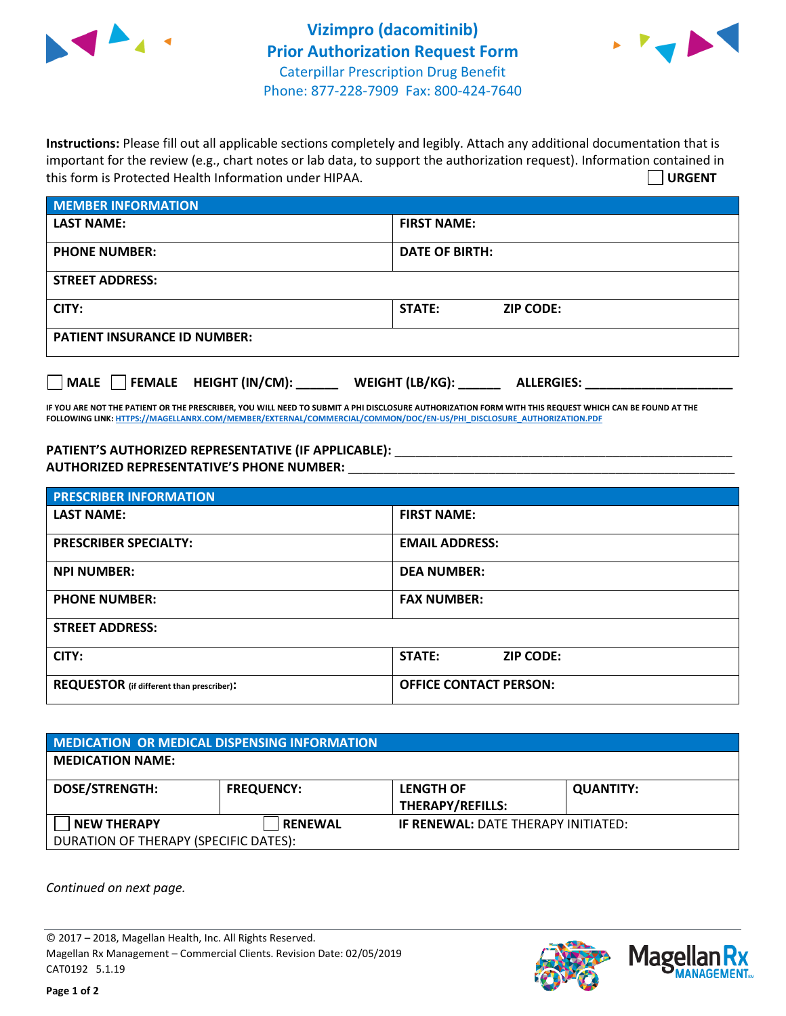



**Instructions:** Please fill out all applicable sections completely and legibly. Attach any additional documentation that is important for the review (e.g., chart notes or lab data, to support the authorization request). Information contained in this form is Protected Health Information under HIPAA. **URGENT**

| <b>MEMBER INFORMATION</b>           |                                   |  |  |  |
|-------------------------------------|-----------------------------------|--|--|--|
| <b>LAST NAME:</b>                   | <b>FIRST NAME:</b>                |  |  |  |
| <b>PHONE NUMBER:</b>                | <b>DATE OF BIRTH:</b>             |  |  |  |
| <b>STREET ADDRESS:</b>              |                                   |  |  |  |
| CITY:                               | <b>STATE:</b><br><b>ZIP CODE:</b> |  |  |  |
| <b>PATIENT INSURANCE ID NUMBER:</b> |                                   |  |  |  |
|                                     |                                   |  |  |  |

**IF YOU ARE NOT THE PATIENT OR THE PRESCRIBER, YOU WILL NEED TO SUBMIT A PHI DISCLOSURE AUTHORIZATION FORM WITH THIS REQUEST WHICH CAN BE FOUND AT THE FOLLOWING LINK[: HTTPS://MAGELLANRX.COM/MEMBER/EXTERNAL/COMMERCIAL/COMMON/DOC/EN-US/PHI\\_DISCLOSURE\\_AUTHORIZATION.PDF](https://magellanrx.com/member/external/commercial/common/doc/en-us/PHI_Disclosure_Authorization.pdf)**

**MALE FEMALE HEIGHT (IN/CM): \_\_\_\_\_\_ WEIGHT (LB/KG): \_\_\_\_\_\_ ALLERGIES: \_\_\_\_\_\_\_\_\_\_\_\_\_\_\_\_\_\_\_\_\_**

PATIENT'S AUTHORIZED REPRESENTATIVE (IF APPLICABLE): \_\_\_\_\_\_\_\_\_\_\_\_\_\_\_\_\_\_\_\_\_\_\_\_\_\_\_ **AUTHORIZED REPRESENTATIVE'S PHONE NUMBER:** \_\_\_\_\_\_\_\_\_\_\_\_\_\_\_\_\_\_\_\_\_\_\_\_\_\_\_\_\_\_\_\_\_\_\_\_\_\_\_\_\_\_\_\_\_\_\_\_\_\_\_\_\_\_\_

| <b>PRESCRIBER INFORMATION</b>             |                               |  |  |  |
|-------------------------------------------|-------------------------------|--|--|--|
| <b>LAST NAME:</b>                         | <b>FIRST NAME:</b>            |  |  |  |
| <b>PRESCRIBER SPECIALTY:</b>              | <b>EMAIL ADDRESS:</b>         |  |  |  |
| <b>NPI NUMBER:</b>                        | <b>DEA NUMBER:</b>            |  |  |  |
| <b>PHONE NUMBER:</b>                      | <b>FAX NUMBER:</b>            |  |  |  |
| <b>STREET ADDRESS:</b>                    |                               |  |  |  |
| CITY:                                     | STATE:<br><b>ZIP CODE:</b>    |  |  |  |
| REQUESTOR (if different than prescriber): | <b>OFFICE CONTACT PERSON:</b> |  |  |  |

| <b>MEDICATION OR MEDICAL DISPENSING INFORMATION</b> |                   |                                            |                  |  |  |
|-----------------------------------------------------|-------------------|--------------------------------------------|------------------|--|--|
| <b>MEDICATION NAME:</b>                             |                   |                                            |                  |  |  |
| <b>DOSE/STRENGTH:</b>                               | <b>FREQUENCY:</b> | <b>LENGTH OF</b>                           | <b>QUANTITY:</b> |  |  |
|                                                     |                   | <b>THERAPY/REFILLS:</b>                    |                  |  |  |
| NEW THERAPY                                         | <b>RENEWAL</b>    | <b>IF RENEWAL: DATE THERAPY INITIATED:</b> |                  |  |  |
| DURATION OF THERAPY (SPECIFIC DATES):               |                   |                                            |                  |  |  |

*Continued on next page.*

© 2017 – 2018, Magellan Health, Inc. All Rights Reserved. Magellan Rx Management – Commercial Clients. Revision Date: 02/05/2019 CAT0192 5.1.19